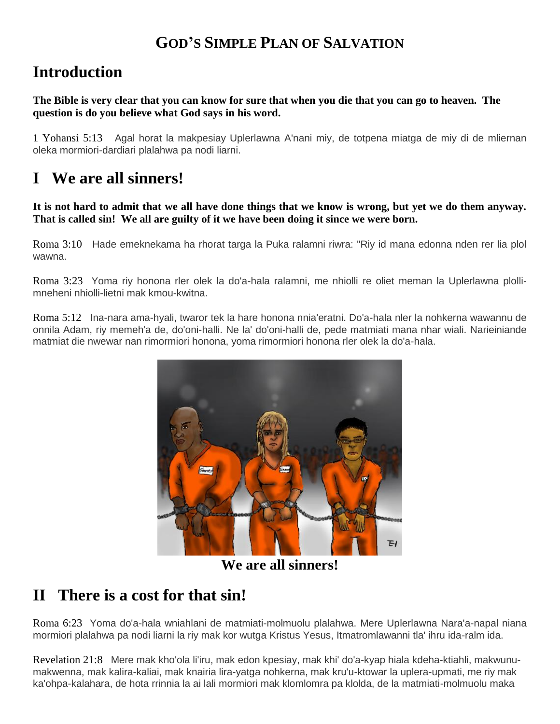## **GOD'S SIMPLE PLAN OF SALVATION**

# **Introduction**

#### **The Bible is very clear that you can know for sure that when you die that you can go to heaven. The question is do you believe what God says in his word.**

1 Yohansi 5:13 Agal horat la makpesiay Uplerlawna A'nani miy, de totpena miatga de miy di de mliernan oleka mormiori-dardiari plalahwa pa nodi liarni.

# **I We are all sinners!**

**It is not hard to admit that we all have done things that we know is wrong, but yet we do them anyway. That is called sin! We all are guilty of it we have been doing it since we were born.**

Roma 3:10 Hade emeknekama ha rhorat targa la Puka ralamni riwra: "Riy id mana edonna nden rer lia plol wawna.

Roma 3:23 Yoma riy honona rler olek la do'a-hala ralamni, me nhiolli re oliet meman la Uplerlawna plollimneheni nhiolli-lietni mak kmou-kwitna.

Roma 5:12 Ina-nara ama-hyali, twaror tek la hare honona nnia'eratni. Do'a-hala nler la nohkerna wawannu de onnila Adam, riy memeh'a de, do'oni-halli. Ne la' do'oni-halli de, pede matmiati mana nhar wiali. Narieiniande matmiat die nwewar nan rimormiori honona, yoma rimormiori honona rler olek la do'a-hala.



**We are all sinners!**

## **II There is a cost for that sin!**

Roma 6:23 Yoma do'a-hala wniahlani de matmiati-molmuolu plalahwa. Mere Uplerlawna Nara'a-napal niana mormiori plalahwa pa nodi liarni la riy mak kor wutga Kristus Yesus, Itmatromlawanni tla' ihru ida-ralm ida.

Revelation 21:8 Mere mak kho'ola li'iru, mak edon kpesiay, mak khi' do'a-kyap hiala kdeha-ktiahli, makwunumakwenna, mak kalira-kaliai, mak knairia lira-yatga nohkerna, mak kru'u-ktowar la uplera-upmati, me riy mak ka'ohpa-kalahara, de hota rrinnia la ai lali mormiori mak klomlomra pa klolda, de la matmiati-molmuolu maka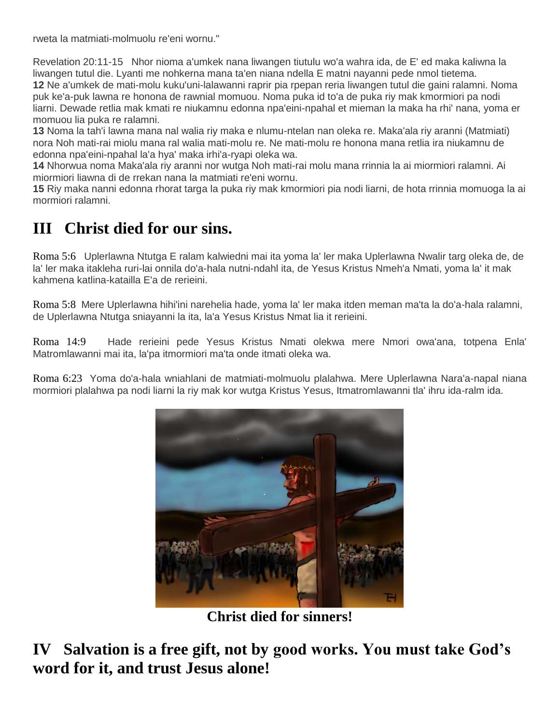rweta la matmiati-molmuolu re'eni wornu."

Revelation 20:11-15 Nhor nioma a'umkek nana liwangen tiutulu wo'a wahra ida, de E' ed maka kaliwna la liwangen tutul die. Lyanti me nohkerna mana ta'en niana ndella E matni nayanni pede nmol tietema. **12** Ne a'umkek de mati-molu kuku'uni-lalawanni raprir pia rpepan reria liwangen tutul die gaini ralamni. Noma puk ke'a-puk lawna re honona de rawnial momuou. Noma puka id to'a de puka riy mak kmormiori pa nodi liarni. Dewade retlia mak kmati re niukamnu edonna npa'eini-npahal et mieman la maka ha rhi' nana, yoma er momuou lia puka re ralamni.

**13** Noma la tah'i lawna mana nal walia riy maka e nlumu-ntelan nan oleka re. Maka'ala riy aranni (Matmiati) nora Noh mati-rai miolu mana ral walia mati-molu re. Ne mati-molu re honona mana retlia ira niukamnu de edonna npa'eini-npahal la'a hya' maka irhi'a-ryapi oleka wa.

**14** Nhorwua noma Maka'ala riy aranni nor wutga Noh mati-rai molu mana rrinnia la ai miormiori ralamni. Ai miormiori liawna di de rrekan nana la matmiati re'eni wornu.

**15** Riy maka nanni edonna rhorat targa la puka riy mak kmormiori pia nodi liarni, de hota rrinnia momuoga la ai mormiori ralamni.

# **III Christ died for our sins.**

Roma 5:6 Uplerlawna Ntutga E ralam kalwiedni mai ita yoma la' ler maka Uplerlawna Nwalir targ oleka de, de la' ler maka itakleha ruri-lai onnila do'a-hala nutni-ndahl ita, de Yesus Kristus Nmeh'a Nmati, yoma la' it mak kahmena katlina-katailla E'a de rerieini.

Roma 5:8 Mere Uplerlawna hihi'ini narehelia hade, yoma la' ler maka itden meman ma'ta la do'a-hala ralamni, de Uplerlawna Ntutga sniayanni la ita, la'a Yesus Kristus Nmat lia it rerieini.

Roma 14:9 Hade rerieini pede Yesus Kristus Nmati olekwa mere Nmori owa'ana, totpena Enla' Matromlawanni mai ita, la'pa itmormiori ma'ta onde itmati oleka wa.

Roma 6:23 Yoma do'a-hala wniahlani de matmiati-molmuolu plalahwa. Mere Uplerlawna Nara'a-napal niana mormiori plalahwa pa nodi liarni la riy mak kor wutga Kristus Yesus, Itmatromlawanni tla' ihru ida-ralm ida.



**Christ died for sinners!**

**IV Salvation is a free gift, not by good works. You must take God's word for it, and trust Jesus alone!**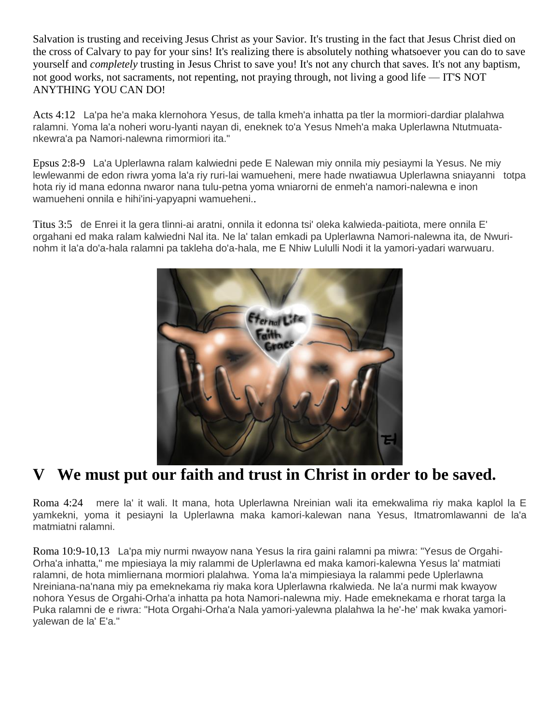Salvation is trusting and receiving Jesus Christ as your Savior. It's trusting in the fact that Jesus Christ died on the cross of Calvary to pay for your sins! It's realizing there is absolutely nothing whatsoever you can do to save yourself and *completely* trusting in Jesus Christ to save you! It's not any church that saves. It's not any baptism, not good works, not sacraments, not repenting, not praying through, not living a good life — IT'S NOT ANYTHING YOU CAN DO!

Acts 4:12 La'pa he'a maka klernohora Yesus, de talla kmeh'a inhatta pa tler la mormiori-dardiar plalahwa ralamni. Yoma la'a noheri woru-lyanti nayan di, eneknek to'a Yesus Nmeh'a maka Uplerlawna Ntutmuatankewra'a pa Namori-nalewna rimormiori ita."

Epsus 2:8-9 La'a Uplerlawna ralam kalwiedni pede E Nalewan miy onnila miy pesiaymi la Yesus. Ne miy lewlewanmi de edon riwra yoma la'a riy ruri-lai wamueheni, mere hade nwatiawua Uplerlawna sniayanni totpa hota riy id mana edonna nwaror nana tulu-petna yoma wniarorni de enmeh'a namori-nalewna e inon wamueheni onnila e hihi'ini-yapyapni wamueheni..

Titus 3:5 de Enrei it la gera tlinni-ai aratni, onnila it edonna tsi' oleka kalwieda-paitiota, mere onnila E' orgahani ed maka ralam kalwiedni Nal ita. Ne la' talan emkadi pa Uplerlawna Namori-nalewna ita, de Nwurinohm it la'a do'a-hala ralamni pa takleha do'a-hala, me E Nhiw Lululli Nodi it la yamori-yadari warwuaru.



## **V We must put our faith and trust in Christ in order to be saved.**

Roma 4:24 mere la' it wali. It mana, hota Uplerlawna Nreinian wali ita emekwalima riy maka kaplol la E yamkekni, yoma it pesiayni la Uplerlawna maka kamori-kalewan nana Yesus, Itmatromlawanni de la'a matmiatni ralamni.

Roma 10:9-10,13 La'pa miy nurmi nwayow nana Yesus la rira gaini ralamni pa miwra: "Yesus de Orgahi-Orha'a inhatta," me mpiesiaya la miy ralammi de Uplerlawna ed maka kamori-kalewna Yesus la' matmiati ralamni, de hota mimliernana mormiori plalahwa. Yoma la'a mimpiesiaya la ralammi pede Uplerlawna Nreiniana-na'nana miy pa emeknekama riy maka kora Uplerlawna rkalwieda. Ne la'a nurmi mak kwayow nohora Yesus de Orgahi-Orha'a inhatta pa hota Namori-nalewna miy. Hade emeknekama e rhorat targa la Puka ralamni de e riwra: "Hota Orgahi-Orha'a Nala yamori-yalewna plalahwa la he'-he' mak kwaka yamoriyalewan de la' E'a."